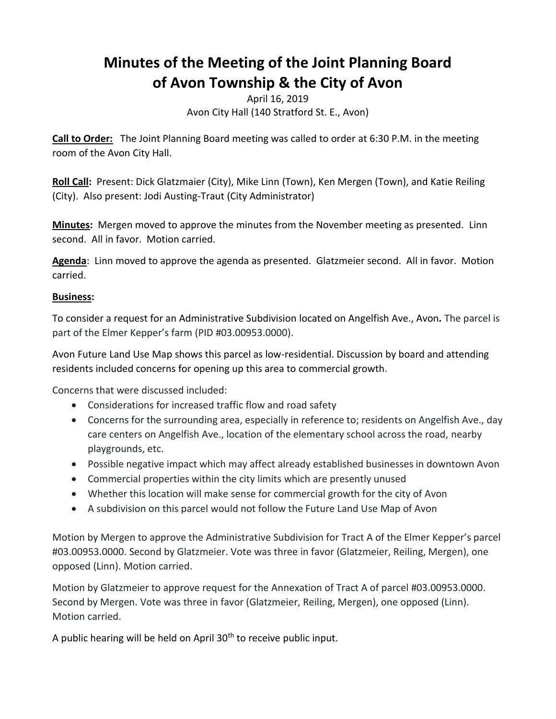## **Minutes of the Meeting of the Joint Planning Board of Avon Township & the City of Avon**

April 16, 2019 Avon City Hall (140 Stratford St. E., Avon)

**Call to Order:** The Joint Planning Board meeting was called to order at 6:30 P.M. in the meeting room of the Avon City Hall.

**Roll Call:** Present: Dick Glatzmaier (City), Mike Linn (Town), Ken Mergen (Town), and Katie Reiling (City). Also present: Jodi Austing-Traut (City Administrator)

**Minutes:** Mergen moved to approve the minutes from the November meeting as presented. Linn second. All in favor. Motion carried.

**Agenda**: Linn moved to approve the agenda as presented. Glatzmeier second. All in favor. Motion carried.

## **Business:**

To consider a request for an Administrative Subdivision located on Angelfish Ave., Avon*.* The parcel is part of the Elmer Kepper's farm (PID #03.00953.0000).

Avon Future Land Use Map shows this parcel as low-residential. Discussion by board and attending residents included concerns for opening up this area to commercial growth.

Concerns that were discussed included:

- Considerations for increased traffic flow and road safety
- Concerns for the surrounding area, especially in reference to; residents on Angelfish Ave., day care centers on Angelfish Ave., location of the elementary school across the road, nearby playgrounds, etc.
- Possible negative impact which may affect already established businesses in downtown Avon
- Commercial properties within the city limits which are presently unused
- Whether this location will make sense for commercial growth for the city of Avon
- A subdivision on this parcel would not follow the Future Land Use Map of Avon

Motion by Mergen to approve the Administrative Subdivision for Tract A of the Elmer Kepper's parcel #03.00953.0000. Second by Glatzmeier. Vote was three in favor (Glatzmeier, Reiling, Mergen), one opposed (Linn). Motion carried.

Motion by Glatzmeier to approve request for the Annexation of Tract A of parcel #03.00953.0000. Second by Mergen. Vote was three in favor (Glatzmeier, Reiling, Mergen), one opposed (Linn). Motion carried.

A public hearing will be held on April 30<sup>th</sup> to receive public input.